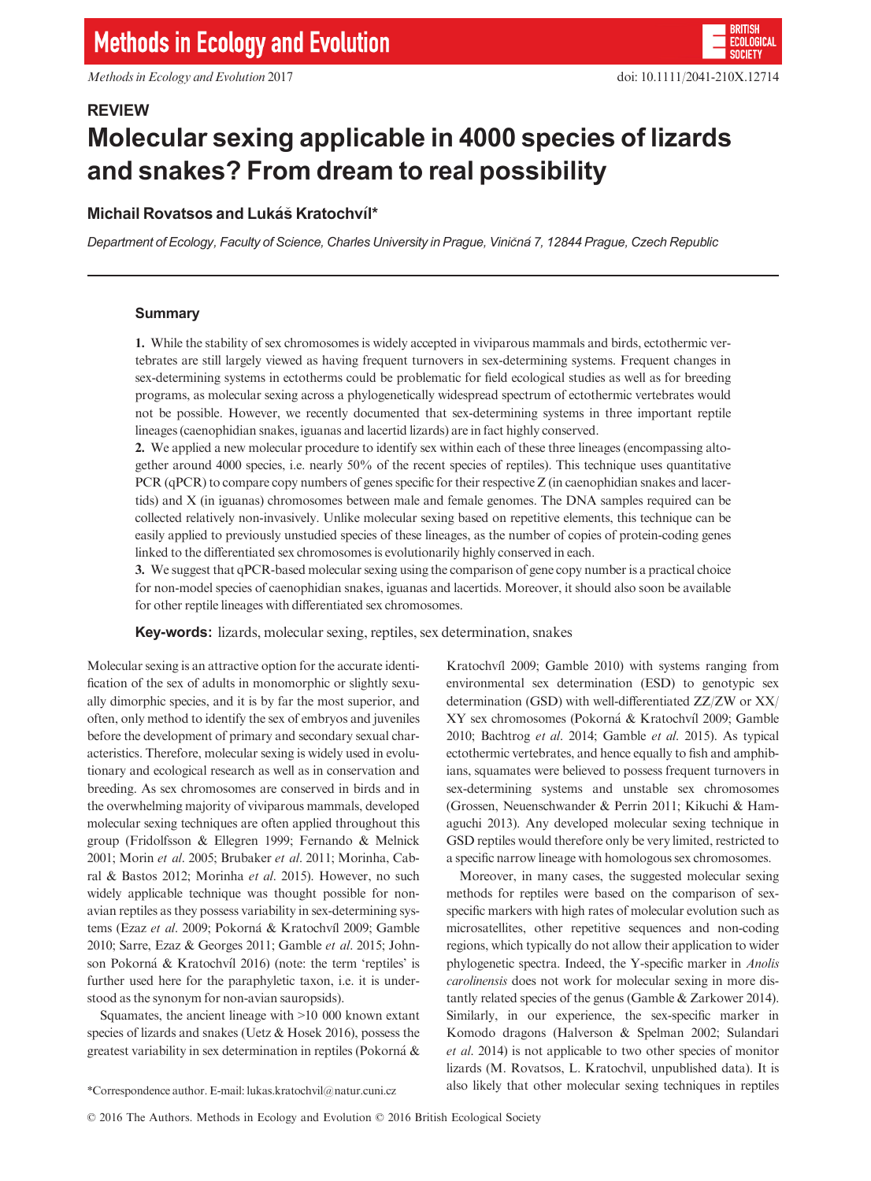# REVIEW Molecular sexing applicable in 4000 species of lizards and snakes? From dream to real possibility

# Michail Rovatsos and Lukáš Kratochvíl\*

Department of Ecology, Faculty of Science, Charles University in Prague, Viničná 7, 12844 Prague, Czech Republic

## Summary

1. While the stability of sex chromosomes is widely accepted in viviparous mammals and birds, ectothermic vertebrates are still largely viewed as having frequent turnovers in sex-determining systems. Frequent changes in sex-determining systems in ectotherms could be problematic for field ecological studies as well as for breeding programs, as molecular sexing across a phylogenetically widespread spectrum of ectothermic vertebrates would not be possible. However, we recently documented that sex-determining systems in three important reptile lineages (caenophidian snakes, iguanas and lacertid lizards) are in fact highly conserved.

2. We applied a new molecular procedure to identify sex within each of these three lineages (encompassing altogether around 4000 species, i.e. nearly 50% of the recent species of reptiles). This technique uses quantitative PCR (qPCR) to compare copy numbers of genes specific for their respective Z (in caenophidian snakes and lacertids) and X (in iguanas) chromosomes between male and female genomes. The DNA samples required can be collected relatively non-invasively. Unlike molecular sexing based on repetitive elements, this technique can be easily applied to previously unstudied species of these lineages, as the number of copies of protein-coding genes linked to the differentiated sex chromosomes is evolutionarily highly conserved in each.

3. We suggest that qPCR-based molecular sexing using the comparison of gene copy number is a practical choice for non-model species of caenophidian snakes, iguanas and lacertids. Moreover, it should also soon be available for other reptile lineages with differentiated sex chromosomes.

Key-words: lizards, molecular sexing, reptiles, sex determination, snakes

Molecular sexing is an attractive option for the accurate identification of the sex of adults in monomorphic or slightly sexually dimorphic species, and it is by far the most superior, and often, only method to identify the sex of embryos and juveniles before the development of primary and secondary sexual characteristics. Therefore, molecular sexing is widely used in evolutionary and ecological research as well as in conservation and breeding. As sex chromosomes are conserved in birds and in the overwhelming majority of viviparous mammals, developed molecular sexing techniques are often applied throughout this group (Fridolfsson & Ellegren 1999; Fernando & Melnick 2001; Morin et al. 2005; Brubaker et al. 2011; Morinha, Cabral & Bastos 2012; Morinha et al. 2015). However, no such widely applicable technique was thought possible for nonavian reptiles as they possess variability in sex-determining systems (Ezaz et al. 2009; Pokorná & Kratochvíl 2009; Gamble 2010; Sarre, Ezaz & Georges 2011; Gamble et al. 2015; Johnson Pokorná & Kratochvíl 2016) (note: the term 'reptiles' is further used here for the paraphyletic taxon, i.e. it is understood as the synonym for non-avian sauropsids).

Squamates, the ancient lineage with >10 000 known extant species of lizards and snakes (Uetz & Hosek 2016), possess the greatest variability in sex determination in reptiles (Pokorná  $\&$ 

Kratochvíl 2009; Gamble 2010) with systems ranging from environmental sex determination (ESD) to genotypic sex determination (GSD) with well-differentiated ZZ/ZW or XX/ XY sex chromosomes (Pokorná & Kratochvíl 2009; Gamble 2010; Bachtrog et al. 2014; Gamble et al. 2015). As typical ectothermic vertebrates, and hence equally to fish and amphibians, squamates were believed to possess frequent turnovers in sex-determining systems and unstable sex chromosomes (Grossen, Neuenschwander & Perrin 2011; Kikuchi & Hamaguchi 2013). Any developed molecular sexing technique in GSD reptiles would therefore only be very limited, restricted to a specific narrow lineage with homologous sex chromosomes.

Moreover, in many cases, the suggested molecular sexing methods for reptiles were based on the comparison of sexspecific markers with high rates of molecular evolution such as microsatellites, other repetitive sequences and non-coding regions, which typically do not allow their application to wider phylogenetic spectra. Indeed, the Y-specific marker in Anolis carolinensis does not work for molecular sexing in more distantly related species of the genus (Gamble & Zarkower 2014). Similarly, in our experience, the sex-specific marker in Komodo dragons (Halverson & Spelman 2002; Sulandari et al. 2014) is not applicable to two other species of monitor lizards (M. Rovatsos, L. Kratochvil, unpublished data). It is also likely that other molecular sexing techniques in reptiles \*Correspondence author. E-mail: lukas.kratochvil@natur.cuni.cz

<sup>©</sup> 2016 The Authors. Methods in Ecology and Evolution © 2016 British Ecological Society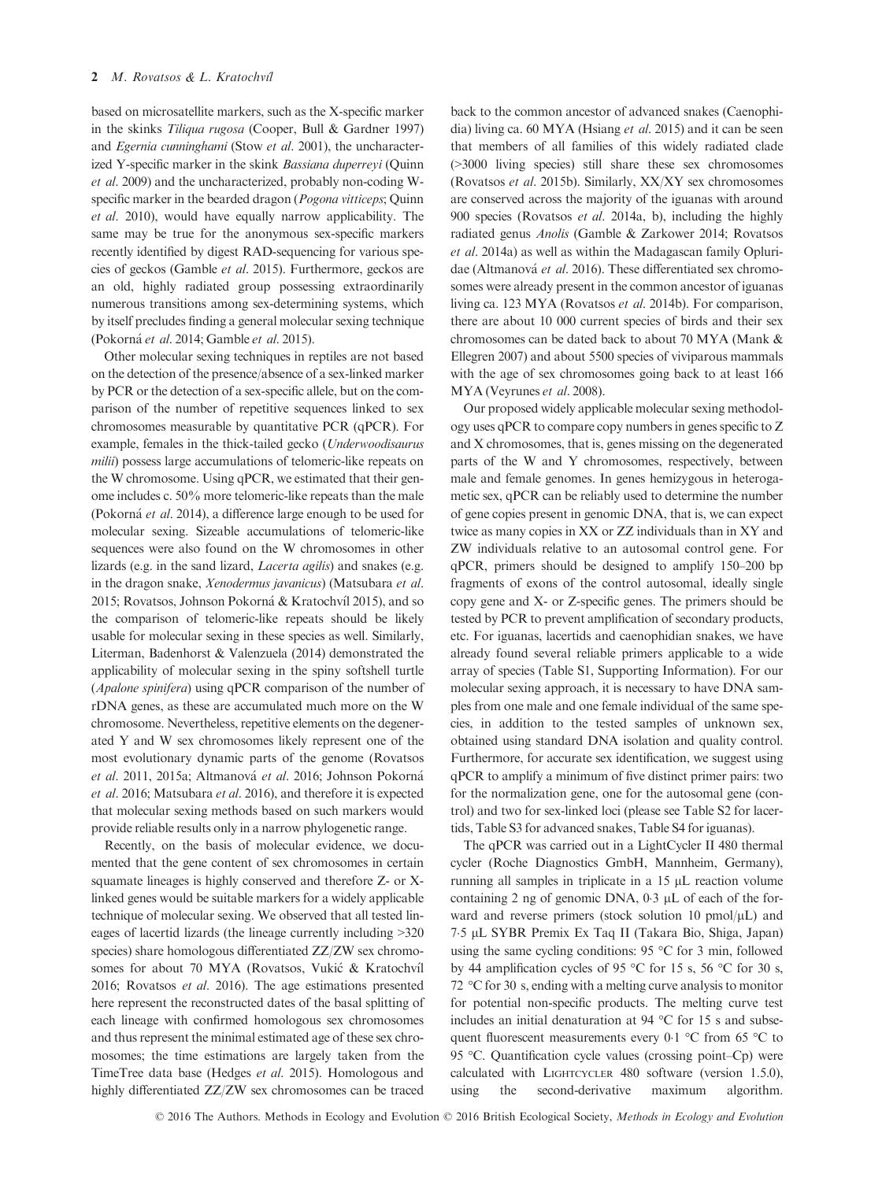based on microsatellite markers, such as the X-specific marker in the skinks Tiliqua rugosa (Cooper, Bull & Gardner 1997) and Egernia cunninghami (Stow et al. 2001), the uncharacterized Y-specific marker in the skink Bassiana duperreyi (Quinn et al. 2009) and the uncharacterized, probably non-coding Wspecific marker in the bearded dragon (*Pogona vitticeps*; Quinn et al. 2010), would have equally narrow applicability. The same may be true for the anonymous sex-specific markers recently identified by digest RAD-sequencing for various species of geckos (Gamble et al. 2015). Furthermore, geckos are an old, highly radiated group possessing extraordinarily numerous transitions among sex-determining systems, which by itself precludes finding a general molecular sexing technique (Pokorná et al. 2014; Gamble et al. 2015).

Other molecular sexing techniques in reptiles are not based on the detection of the presence/absence of a sex-linked marker by PCR or the detection of a sex-specific allele, but on the comparison of the number of repetitive sequences linked to sex chromosomes measurable by quantitative PCR (qPCR). For example, females in the thick-tailed gecko (Underwoodisaurus milii) possess large accumulations of telomeric-like repeats on the W chromosome. Using qPCR, we estimated that their genome includes c. 50% more telomeric-like repeats than the male (Pokorná et al. 2014), a difference large enough to be used for molecular sexing. Sizeable accumulations of telomeric-like sequences were also found on the W chromosomes in other lizards (e.g. in the sand lizard, Lacerta agilis) and snakes (e.g. in the dragon snake, Xenodermus javanicus) (Matsubara et al. 2015; Rovatsos, Johnson Pokorná & Kratochvíl 2015), and so the comparison of telomeric-like repeats should be likely usable for molecular sexing in these species as well. Similarly, Literman, Badenhorst & Valenzuela (2014) demonstrated the applicability of molecular sexing in the spiny softshell turtle (Apalone spinifera) using qPCR comparison of the number of rDNA genes, as these are accumulated much more on the W chromosome. Nevertheless, repetitive elements on the degenerated Y and W sex chromosomes likely represent one of the most evolutionary dynamic parts of the genome (Rovatsos et al. 2011, 2015a; Altmanová et al. 2016; Johnson Pokorná et al. 2016; Matsubara et al. 2016), and therefore it is expected that molecular sexing methods based on such markers would provide reliable results only in a narrow phylogenetic range.

Recently, on the basis of molecular evidence, we documented that the gene content of sex chromosomes in certain squamate lineages is highly conserved and therefore Z- or Xlinked genes would be suitable markers for a widely applicable technique of molecular sexing. We observed that all tested lineages of lacertid lizards (the lineage currently including >320 species) share homologous differentiated ZZ/ZW sex chromosomes for about 70 MYA (Rovatsos, Vukić & Kratochvíl 2016; Rovatsos et al. 2016). The age estimations presented here represent the reconstructed dates of the basal splitting of each lineage with confirmed homologous sex chromosomes and thus represent the minimal estimated age of these sex chromosomes; the time estimations are largely taken from the TimeTree data base (Hedges et al. 2015). Homologous and highly differentiated ZZ/ZW sex chromosomes can be traced back to the common ancestor of advanced snakes (Caenophidia) living ca. 60 MYA (Hsiang et al. 2015) and it can be seen that members of all families of this widely radiated clade (>3000 living species) still share these sex chromosomes (Rovatsos et al. 2015b). Similarly, XX/XY sex chromosomes are conserved across the majority of the iguanas with around 900 species (Rovatsos et al. 2014a, b), including the highly radiated genus Anolis (Gamble & Zarkower 2014; Rovatsos et al. 2014a) as well as within the Madagascan family Opluridae (Altmanová et al. 2016). These differentiated sex chromosomes were already present in the common ancestor of iguanas living ca. 123 MYA (Rovatsos et al. 2014b). For comparison, there are about 10 000 current species of birds and their sex chromosomes can be dated back to about 70 MYA (Mank & Ellegren 2007) and about 5500 species of viviparous mammals with the age of sex chromosomes going back to at least 166 MYA (Veyrunes et al. 2008).

Our proposed widely applicable molecular sexing methodology uses qPCR to compare copy numbers in genes specific to Z and X chromosomes, that is, genes missing on the degenerated parts of the W and Y chromosomes, respectively, between male and female genomes. In genes hemizygous in heterogametic sex, qPCR can be reliably used to determine the number of gene copies present in genomic DNA, that is, we can expect twice as many copies in XX or ZZ individuals than in XY and ZW individuals relative to an autosomal control gene. For qPCR, primers should be designed to amplify 150–200 bp fragments of exons of the control autosomal, ideally single copy gene and X- or Z-specific genes. The primers should be tested by PCR to prevent amplification of secondary products, etc. For iguanas, lacertids and caenophidian snakes, we have already found several reliable primers applicable to a wide array of species (Table S1, Supporting Information). For our molecular sexing approach, it is necessary to have DNA samples from one male and one female individual of the same species, in addition to the tested samples of unknown sex, obtained using standard DNA isolation and quality control. Furthermore, for accurate sex identification, we suggest using qPCR to amplify a minimum of five distinct primer pairs: two for the normalization gene, one for the autosomal gene (control) and two for sex-linked loci (please see Table S2 for lacertids, Table S3 for advanced snakes, Table S4 for iguanas).

The qPCR was carried out in a LightCycler II 480 thermal cycler (Roche Diagnostics GmbH, Mannheim, Germany), running all samples in triplicate in a  $15 \mu L$  reaction volume containing 2 ng of genomic DNA,  $0.3 \mu L$  of each of the forward and reverse primers (stock solution 10 pmol/ $\mu$ L) and 7!5 lL SYBR Premix Ex Taq II (Takara Bio, Shiga, Japan) using the same cycling conditions: 95 °C for 3 min, followed by 44 amplification cycles of 95 °C for 15 s, 56 °C for 30 s, 72 °C for 30 s, ending with a melting curve analysis to monitor for potential non-specific products. The melting curve test includes an initial denaturation at 94 °C for 15 s and subsequent fluorescent measurements every 0.1  $\degree$ C from 65  $\degree$ C to 95 °C. Quantification cycle values (crossing point–Cp) were calculated with LIGHTCYCLER 480 software (version 1.5.0), using the second-derivative maximum algorithm.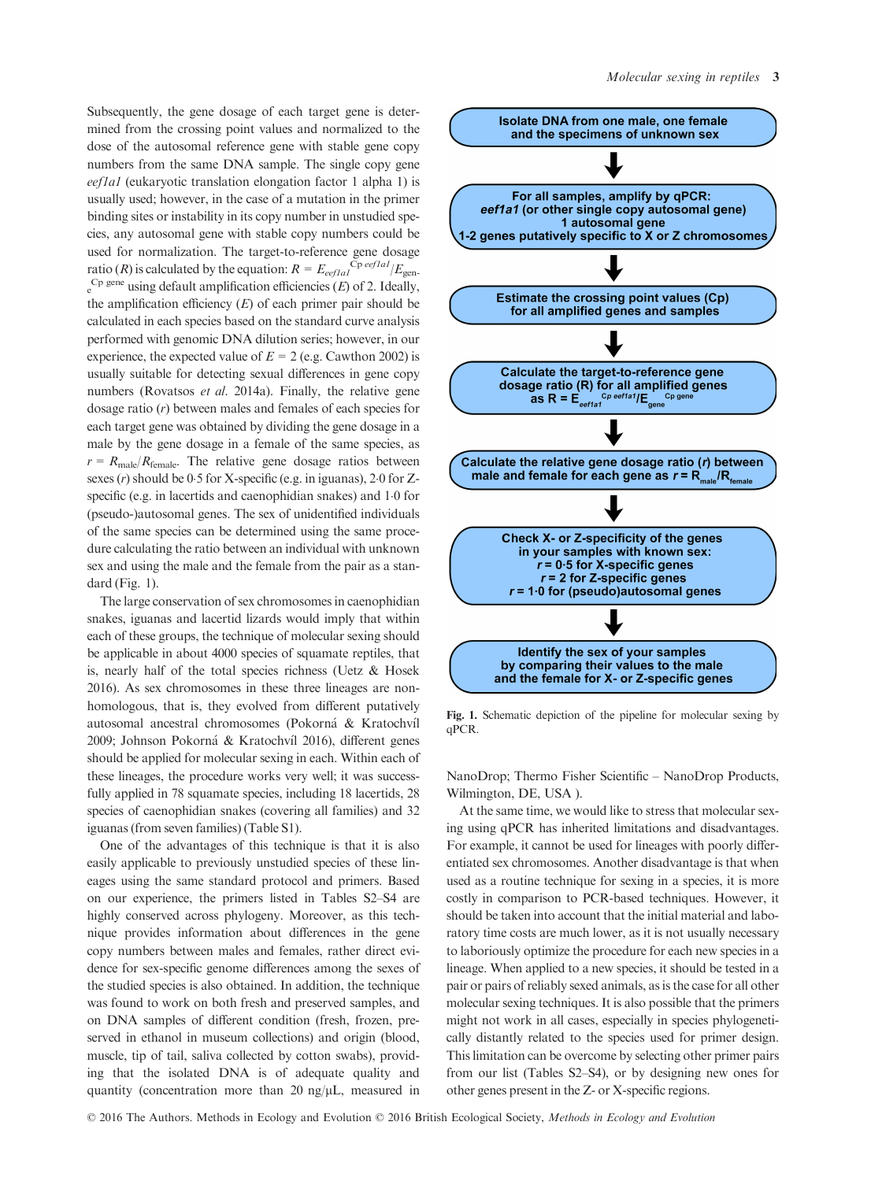Subsequently, the gene dosage of each target gene is determined from the crossing point values and normalized to the dose of the autosomal reference gene with stable gene copy numbers from the same DNA sample. The single copy gene eef1a1 (eukaryotic translation elongation factor 1 alpha 1) is usually used; however, in the case of a mutation in the primer binding sites or instability in its copy number in unstudied species, any autosomal gene with stable copy numbers could be used for normalization. The target-to-reference gene dosage ratio (R) is calculated by the equation:  $R = E_{\text{eeflal}}^{\text{Cp}\text{eeflal}}/E_{\text{gen}}$  $e^{Cp}$  gene using default amplification efficiencies (E) of 2. Ideally, the amplification efficiency  $(E)$  of each primer pair should be calculated in each species based on the standard curve analysis performed with genomic DNA dilution series; however, in our experience, the expected value of  $E = 2$  (e.g. Cawthon 2002) is usually suitable for detecting sexual differences in gene copy numbers (Rovatsos et al. 2014a). Finally, the relative gene dosage ratio (r) between males and females of each species for each target gene was obtained by dividing the gene dosage in a male by the gene dosage in a female of the same species, as  $r = R_{\text{male}}/R_{\text{female}}$ . The relative gene dosage ratios between sexes  $(r)$  should be 0.5 for X-specific (e.g. in iguanas), 2.0 for Zspecific (e.g. in lacertids and caenophidian snakes) and 1.0 for (pseudo-)autosomal genes. The sex of unidentified individuals of the same species can be determined using the same procedure calculating the ratio between an individual with unknown sex and using the male and the female from the pair as a standard (Fig. 1).

The large conservation of sex chromosomes in caenophidian snakes, iguanas and lacertid lizards would imply that within each of these groups, the technique of molecular sexing should be applicable in about 4000 species of squamate reptiles, that is, nearly half of the total species richness (Uetz & Hosek 2016). As sex chromosomes in these three lineages are nonhomologous, that is, they evolved from different putatively autosomal ancestral chromosomes (Pokorná & Kratochvíl 2009; Johnson Pokorná & Kratochvíl 2016), different genes should be applied for molecular sexing in each. Within each of these lineages, the procedure works very well; it was successfully applied in 78 squamate species, including 18 lacertids, 28 species of caenophidian snakes (covering all families) and 32 iguanas (from seven families) (Table S1).

One of the advantages of this technique is that it is also easily applicable to previously unstudied species of these lineages using the same standard protocol and primers. Based on our experience, the primers listed in Tables S2–S4 are highly conserved across phylogeny. Moreover, as this technique provides information about differences in the gene copy numbers between males and females, rather direct evidence for sex-specific genome differences among the sexes of the studied species is also obtained. In addition, the technique was found to work on both fresh and preserved samples, and on DNA samples of different condition (fresh, frozen, preserved in ethanol in museum collections) and origin (blood, muscle, tip of tail, saliva collected by cotton swabs), providing that the isolated DNA is of adequate quality and quantity (concentration more than 20 ng/ $\mu$ L, measured in



Fig. 1. Schematic depiction of the pipeline for molecular sexing by qPCR.

NanoDrop; Thermo Fisher Scientific – NanoDrop Products, Wilmington, DE, USA ).

At the same time, we would like to stress that molecular sexing using qPCR has inherited limitations and disadvantages. For example, it cannot be used for lineages with poorly differentiated sex chromosomes. Another disadvantage is that when used as a routine technique for sexing in a species, it is more costly in comparison to PCR-based techniques. However, it should be taken into account that the initial material and laboratory time costs are much lower, as it is not usually necessary to laboriously optimize the procedure for each new species in a lineage. When applied to a new species, it should be tested in a pair or pairs of reliably sexed animals, as is the case for all other molecular sexing techniques. It is also possible that the primers might not work in all cases, especially in species phylogenetically distantly related to the species used for primer design. This limitation can be overcome by selecting other primer pairs from our list (Tables S2–S4), or by designing new ones for other genes present in the Z- or X-specific regions.

© 2016 The Authors. Methods in Ecology and Evolution © 2016 British Ecological Society, Methods in Ecology and Evolution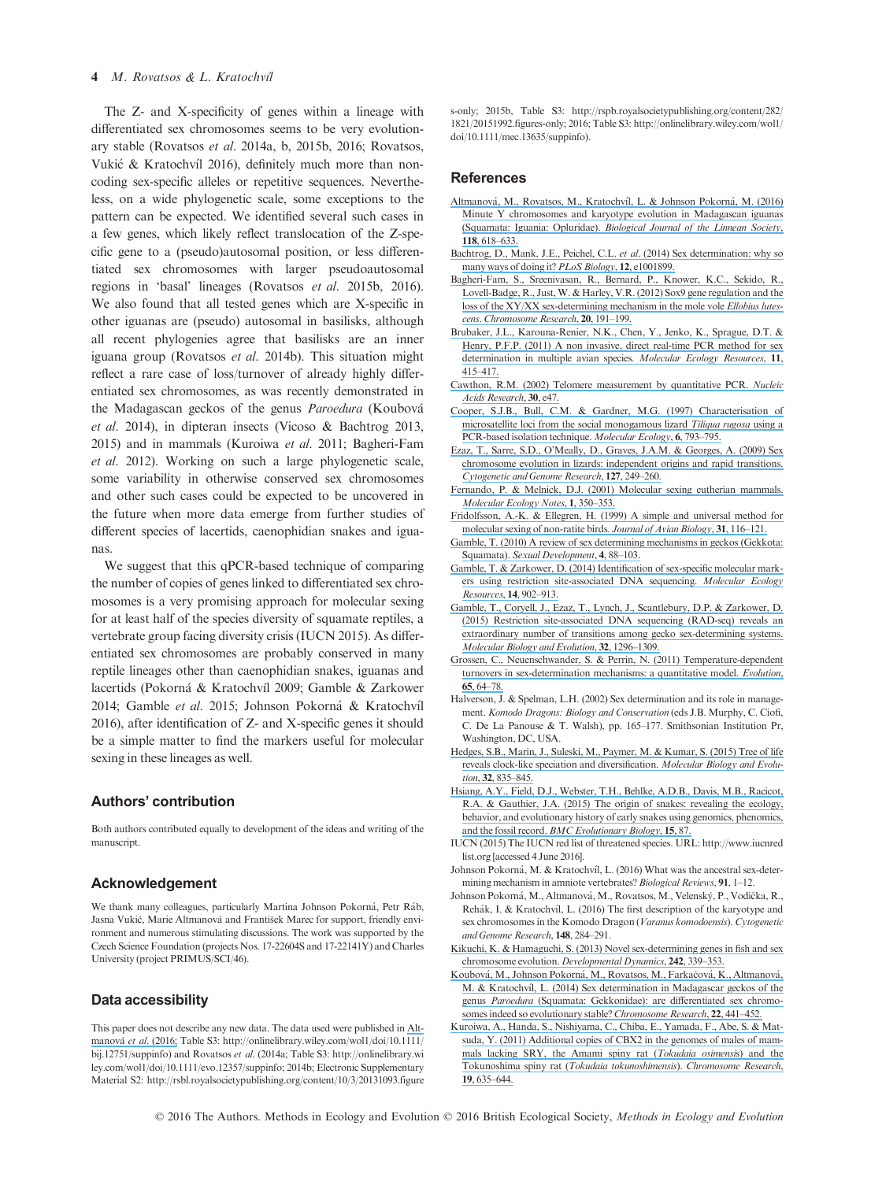### 4 M. Rovatsos & L. Kratochvíl

The Z- and X-specificity of genes within a lineage with differentiated sex chromosomes seems to be very evolutionary stable (Rovatsos et al. 2014a, b, 2015b, 2016; Rovatsos, Vukić & Kratochvíl 2016), definitely much more than noncoding sex-specific alleles or repetitive sequences. Nevertheless, on a wide phylogenetic scale, some exceptions to the pattern can be expected. We identified several such cases in a few genes, which likely reflect translocation of the Z-specific gene to a (pseudo)autosomal position, or less differentiated sex chromosomes with larger pseudoautosomal regions in 'basal' lineages (Rovatsos et al. 2015b, 2016). We also found that all tested genes which are X-specific in other iguanas are (pseudo) autosomal in basilisks, although all recent phylogenies agree that basilisks are an inner iguana group (Rovatsos et al. 2014b). This situation might reflect a rare case of loss/turnover of already highly differentiated sex chromosomes, as was recently demonstrated in the Madagascan geckos of the genus Paroedura (Koubová et al. 2014), in dipteran insects (Vicoso & Bachtrog 2013, 2015) and in mammals (Kuroiwa et al. 2011; Bagheri-Fam et al. 2012). Working on such a large phylogenetic scale, some variability in otherwise conserved sex chromosomes and other such cases could be expected to be uncovered in the future when more data emerge from further studies of different species of lacertids, caenophidian snakes and iguanas.

We suggest that this qPCR-based technique of comparing the number of copies of genes linked to differentiated sex chromosomes is a very promising approach for molecular sexing for at least half of the species diversity of squamate reptiles, a vertebrate group facing diversity crisis (IUCN 2015). As differentiated sex chromosomes are probably conserved in many reptile lineages other than caenophidian snakes, iguanas and lacertids (Pokorná & Kratochvíl 2009; Gamble & Zarkower 2014; Gamble et al. 2015; Johnson Pokorná & Kratochvíl 2016), after identification of Z- and X-specific genes it should be a simple matter to find the markers useful for molecular sexing in these lineages as well.

# Authors' contribution

Both authors contributed equally to development of the ideas and writing of the manuscript.

#### Acknowledgement

We thank many colleagues, particularly Martina Johnson Pokorná, Petr Ráb, Jasna Vukić, Marie Altmanová and František Marec for support, friendly environment and numerous stimulating discussions. The work was supported by the Czech Science Foundation (projects Nos. 17-22604S and 17-22141Y) and Charles University (project PRIMUS/SCI/46).

## Data accessibility

This paper does not describe any new data. The data used were published in [Alt](https://www.researchgate.net/publication/292386176_Minute_Y_chromosomes_and_karyotype_evolution_in_Madagascan_iguanas_Squamata_Iguania_Opluridae?el=1_x_8&enrichId=rgreq-029051ff236c07cf76ba18e1d08611dd-XXX&enrichSource=Y292ZXJQYWdlOzMxMTcxMzE5NTtBUzo0NTkwNjk2NjUzNTM3MzZAMTQ4NjQ2MjE0NTgxMw==)[manov](https://www.researchgate.net/publication/292386176_Minute_Y_chromosomes_and_karyotype_evolution_in_Madagascan_iguanas_Squamata_Iguania_Opluridae?el=1_x_8&enrichId=rgreq-029051ff236c07cf76ba18e1d08611dd-XXX&enrichSource=Y292ZXJQYWdlOzMxMTcxMzE5NTtBUzo0NTkwNjk2NjUzNTM3MzZAMTQ4NjQ2MjE0NTgxMw==)á et al. (2016; Table S3: http://onlinelibrary.wiley.com/wol1/doi/10.1111/ bij.12751/suppinfo) and Rovatsos et al. (2014a; Table S3: http://onlinelibrary.wi ley.com/wol1/doi/10.1111/evo.12357/suppinfo; 2014b; Electronic Supplementary Material S2: [http://rsbl.royalsocietypublishing.org/content/10/3/20131093.figure](http://rsbl.royalsocietypublishing.org/content/10/3/20131093.figures-only) [s-only](http://rsbl.royalsocietypublishing.org/content/10/3/20131093.figures-only); 2015b, Table S3: [http://rspb.royalsocietypublishing.org/content/282/](http://rspb.royalsocietypublishing.org/content/282/1821/20151992.figures-only) [1821/20151992.figures-only;](http://rspb.royalsocietypublishing.org/content/282/1821/20151992.figures-only) 2016; Table S3: http://onlinelibrary.wiley.com/wol1/ doi/10.1111/mec.13635/suppinfo).

### References

- Altmanová, M., Rovatsos, M., Kratochvíl, L. & Johnson Pokorná, M. (2016) [Minute Y chromosomes and karyotype evolution in Madagascan iguanas](https://www.researchgate.net/publication/292386176_Minute_Y_chromosomes_and_karyotype_evolution_in_Madagascan_iguanas_Squamata_Iguania_Opluridae?el=1_x_8&enrichId=rgreq-029051ff236c07cf76ba18e1d08611dd-XXX&enrichSource=Y292ZXJQYWdlOzMxMTcxMzE5NTtBUzo0NTkwNjk2NjUzNTM3MzZAMTQ4NjQ2MjE0NTgxMw==) (Squamata: Iguania: Opluridae). [Biological Journal of the Linnean Society](https://www.researchgate.net/publication/292386176_Minute_Y_chromosomes_and_karyotype_evolution_in_Madagascan_iguanas_Squamata_Iguania_Opluridae?el=1_x_8&enrichId=rgreq-029051ff236c07cf76ba18e1d08611dd-XXX&enrichSource=Y292ZXJQYWdlOzMxMTcxMzE5NTtBUzo0NTkwNjk2NjUzNTM3MzZAMTQ4NjQ2MjE0NTgxMw==), 118[, 618](https://www.researchgate.net/publication/292386176_Minute_Y_chromosomes_and_karyotype_evolution_in_Madagascan_iguanas_Squamata_Iguania_Opluridae?el=1_x_8&enrichId=rgreq-029051ff236c07cf76ba18e1d08611dd-XXX&enrichSource=Y292ZXJQYWdlOzMxMTcxMzE5NTtBUzo0NTkwNjk2NjUzNTM3MzZAMTQ4NjQ2MjE0NTgxMw==)–633.
- [Bachtrog, D., Mank, J.E., Peichel, C.L.](https://www.researchgate.net/publication/263858407_Sex_Determination_Why_So_Many_Ways_of_Doing_It?el=1_x_8&enrichId=rgreq-029051ff236c07cf76ba18e1d08611dd-XXX&enrichSource=Y292ZXJQYWdlOzMxMTcxMzE5NTtBUzo0NTkwNjk2NjUzNTM3MzZAMTQ4NjQ2MjE0NTgxMw==) et al. (2014) Sex determination: why so [many ways of doing it?](https://www.researchgate.net/publication/263858407_Sex_Determination_Why_So_Many_Ways_of_Doing_It?el=1_x_8&enrichId=rgreq-029051ff236c07cf76ba18e1d08611dd-XXX&enrichSource=Y292ZXJQYWdlOzMxMTcxMzE5NTtBUzo0NTkwNjk2NjUzNTM3MzZAMTQ4NjQ2MjE0NTgxMw==) PLoS Biology, 12, e1001899.
- [Bagheri-Fam, S., Sreenivasan, R., Bernard, P., Knower, K.C., Sekido, R.,](https://www.researchgate.net/publication/51979207_Sox9_gene_regulation_and_the_loss_of_the_XYXX_sex-determining_mechanism_in_the_mole_vole_Ellobius_lutescens?el=1_x_8&enrichId=rgreq-029051ff236c07cf76ba18e1d08611dd-XXX&enrichSource=Y292ZXJQYWdlOzMxMTcxMzE5NTtBUzo0NTkwNjk2NjUzNTM3MzZAMTQ4NjQ2MjE0NTgxMw==) [Lovell-Badge, R., Just, W. & Harley, V.R. \(2012\) Sox9 gene regulation and the](https://www.researchgate.net/publication/51979207_Sox9_gene_regulation_and_the_loss_of_the_XYXX_sex-determining_mechanism_in_the_mole_vole_Ellobius_lutescens?el=1_x_8&enrichId=rgreq-029051ff236c07cf76ba18e1d08611dd-XXX&enrichSource=Y292ZXJQYWdlOzMxMTcxMzE5NTtBUzo0NTkwNjk2NjUzNTM3MzZAMTQ4NjQ2MjE0NTgxMw==) [loss of the XY/XX sex-determining mechanism in the mole vole](https://www.researchgate.net/publication/51979207_Sox9_gene_regulation_and_the_loss_of_the_XYXX_sex-determining_mechanism_in_the_mole_vole_Ellobius_lutescens?el=1_x_8&enrichId=rgreq-029051ff236c07cf76ba18e1d08611dd-XXX&enrichSource=Y292ZXJQYWdlOzMxMTcxMzE5NTtBUzo0NTkwNjk2NjUzNTM3MzZAMTQ4NjQ2MjE0NTgxMw==) Ellobius lutescens. [Chromosome Research](https://www.researchgate.net/publication/51979207_Sox9_gene_regulation_and_the_loss_of_the_XYXX_sex-determining_mechanism_in_the_mole_vole_Ellobius_lutescens?el=1_x_8&enrichId=rgreq-029051ff236c07cf76ba18e1d08611dd-XXX&enrichSource=Y292ZXJQYWdlOzMxMTcxMzE5NTtBUzo0NTkwNjk2NjUzNTM3MzZAMTQ4NjQ2MjE0NTgxMw==), 20, 191–199.
- [Brubaker, J.L., Karouna-Renier, N.K., Chen, Y., Jenko, K., Sprague, D.T. &](https://www.researchgate.net/publication/50830573_A_noninvasive_direct_real-time_PCR_method_for_sex_determination_in_multiple_avian_species?el=1_x_8&enrichId=rgreq-029051ff236c07cf76ba18e1d08611dd-XXX&enrichSource=Y292ZXJQYWdlOzMxMTcxMzE5NTtBUzo0NTkwNjk2NjUzNTM3MzZAMTQ4NjQ2MjE0NTgxMw==) [Henry, P.F.P. \(2011\) A non invasive, direct real-time PCR method for sex](https://www.researchgate.net/publication/50830573_A_noninvasive_direct_real-time_PCR_method_for_sex_determination_in_multiple_avian_species?el=1_x_8&enrichId=rgreq-029051ff236c07cf76ba18e1d08611dd-XXX&enrichSource=Y292ZXJQYWdlOzMxMTcxMzE5NTtBUzo0NTkwNjk2NjUzNTM3MzZAMTQ4NjQ2MjE0NTgxMw==) [determination in multiple avian species.](https://www.researchgate.net/publication/50830573_A_noninvasive_direct_real-time_PCR_method_for_sex_determination_in_multiple_avian_species?el=1_x_8&enrichId=rgreq-029051ff236c07cf76ba18e1d08611dd-XXX&enrichSource=Y292ZXJQYWdlOzMxMTcxMzE5NTtBUzo0NTkwNjk2NjUzNTM3MzZAMTQ4NjQ2MjE0NTgxMw==) Molecular Ecology Resources, 11, 415–[417.](https://www.researchgate.net/publication/50830573_A_noninvasive_direct_real-time_PCR_method_for_sex_determination_in_multiple_avian_species?el=1_x_8&enrichId=rgreq-029051ff236c07cf76ba18e1d08611dd-XXX&enrichSource=Y292ZXJQYWdlOzMxMTcxMzE5NTtBUzo0NTkwNjk2NjUzNTM3MzZAMTQ4NjQ2MjE0NTgxMw==)
- [Cawthon, R.M. \(2002\) Telomere measurement by quantitative PCR.](https://www.researchgate.net/publication/311532699_Telomere_measurement_by_quantitative_PCR?el=1_x_8&enrichId=rgreq-029051ff236c07cf76ba18e1d08611dd-XXX&enrichSource=Y292ZXJQYWdlOzMxMTcxMzE5NTtBUzo0NTkwNjk2NjUzNTM3MzZAMTQ4NjQ2MjE0NTgxMw==) Nucleic [Acids Research](https://www.researchgate.net/publication/311532699_Telomere_measurement_by_quantitative_PCR?el=1_x_8&enrichId=rgreq-029051ff236c07cf76ba18e1d08611dd-XXX&enrichSource=Y292ZXJQYWdlOzMxMTcxMzE5NTtBUzo0NTkwNjk2NjUzNTM3MzZAMTQ4NjQ2MjE0NTgxMw==), 30, e47.
- [Cooper, S.J.B., Bull, C.M. & Gardner, M.G. \(1997\) Characterisation of](https://www.researchgate.net/publication/13958253_Characterization_of_microsatellite_loci_from_the_socially_monogamous_lizard_Tiliqua_rugosa_using_a_PCR-based_isolation_technique?el=1_x_8&enrichId=rgreq-029051ff236c07cf76ba18e1d08611dd-XXX&enrichSource=Y292ZXJQYWdlOzMxMTcxMzE5NTtBUzo0NTkwNjk2NjUzNTM3MzZAMTQ4NjQ2MjE0NTgxMw==) [microsatellite loci from the social monogamous lizard](https://www.researchgate.net/publication/13958253_Characterization_of_microsatellite_loci_from_the_socially_monogamous_lizard_Tiliqua_rugosa_using_a_PCR-based_isolation_technique?el=1_x_8&enrichId=rgreq-029051ff236c07cf76ba18e1d08611dd-XXX&enrichSource=Y292ZXJQYWdlOzMxMTcxMzE5NTtBUzo0NTkwNjk2NjUzNTM3MzZAMTQ4NjQ2MjE0NTgxMw==) Tiliqua rugosa using a [PCR-based isolation technique.](https://www.researchgate.net/publication/13958253_Characterization_of_microsatellite_loci_from_the_socially_monogamous_lizard_Tiliqua_rugosa_using_a_PCR-based_isolation_technique?el=1_x_8&enrichId=rgreq-029051ff236c07cf76ba18e1d08611dd-XXX&enrichSource=Y292ZXJQYWdlOzMxMTcxMzE5NTtBUzo0NTkwNjk2NjUzNTM3MzZAMTQ4NjQ2MjE0NTgxMw==) Molecular Ecology, 6, 793–795.
- [Ezaz, T., Sarre, S.D., O'Meally, D., Graves, J.A.M. & Georges, A. \(2009\) Sex](https://www.researchgate.net/publication/42440992_Sex_Chromosome_Evolution_in_Lizards_Independent_Origins_and_Rapid_Transitions?el=1_x_8&enrichId=rgreq-029051ff236c07cf76ba18e1d08611dd-XXX&enrichSource=Y292ZXJQYWdlOzMxMTcxMzE5NTtBUzo0NTkwNjk2NjUzNTM3MzZAMTQ4NjQ2MjE0NTgxMw==) [chromosome evolution in lizards: independent origins and rapid transitions.](https://www.researchgate.net/publication/42440992_Sex_Chromosome_Evolution_in_Lizards_Independent_Origins_and_Rapid_Transitions?el=1_x_8&enrichId=rgreq-029051ff236c07cf76ba18e1d08611dd-XXX&enrichSource=Y292ZXJQYWdlOzMxMTcxMzE5NTtBUzo0NTkwNjk2NjUzNTM3MzZAMTQ4NjQ2MjE0NTgxMw==) [Cytogenetic and Genome Research](https://www.researchgate.net/publication/42440992_Sex_Chromosome_Evolution_in_Lizards_Independent_Origins_and_Rapid_Transitions?el=1_x_8&enrichId=rgreq-029051ff236c07cf76ba18e1d08611dd-XXX&enrichSource=Y292ZXJQYWdlOzMxMTcxMzE5NTtBUzo0NTkwNjk2NjUzNTM3MzZAMTQ4NjQ2MjE0NTgxMw==), 127, 249–260.
- [Fernando, P. & Melnick, D.J. \(2001\) Molecular sexing eutherian mammals.](https://www.researchgate.net/publication/228053678_Molecular_sexing_eutherian_mammals?el=1_x_8&enrichId=rgreq-029051ff236c07cf76ba18e1d08611dd-XXX&enrichSource=Y292ZXJQYWdlOzMxMTcxMzE5NTtBUzo0NTkwNjk2NjUzNTM3MzZAMTQ4NjQ2MjE0NTgxMw==) [Molecular Ecology Notes](https://www.researchgate.net/publication/228053678_Molecular_sexing_eutherian_mammals?el=1_x_8&enrichId=rgreq-029051ff236c07cf76ba18e1d08611dd-XXX&enrichSource=Y292ZXJQYWdlOzMxMTcxMzE5NTtBUzo0NTkwNjk2NjUzNTM3MzZAMTQ4NjQ2MjE0NTgxMw==), 1, 350–353.
- [Fridolfsson, A.-K. & Ellegren, H. \(1999\) A simple and universal method for](https://www.researchgate.net/publication/245063683_A_Simple_and_Universal_Method_for_Molecular_Sexing_of_Non-Ratite_Birds?el=1_x_8&enrichId=rgreq-029051ff236c07cf76ba18e1d08611dd-XXX&enrichSource=Y292ZXJQYWdlOzMxMTcxMzE5NTtBUzo0NTkwNjk2NjUzNTM3MzZAMTQ4NjQ2MjE0NTgxMw==) [molecular sexing of non-ratite birds.](https://www.researchgate.net/publication/245063683_A_Simple_and_Universal_Method_for_Molecular_Sexing_of_Non-Ratite_Birds?el=1_x_8&enrichId=rgreq-029051ff236c07cf76ba18e1d08611dd-XXX&enrichSource=Y292ZXJQYWdlOzMxMTcxMzE5NTtBUzo0NTkwNjk2NjUzNTM3MzZAMTQ4NjQ2MjE0NTgxMw==) Journal of Avian Biology, 31, 116–121.
- [Gamble, T. \(2010\) A review of sex determining mechanisms in geckos \(Gekkota:](https://www.researchgate.net/publication/42109220_A_Review_of_Sex_Determining_Mechanisms_in_Geckos_Gekkota_Squamata?el=1_x_8&enrichId=rgreq-029051ff236c07cf76ba18e1d08611dd-XXX&enrichSource=Y292ZXJQYWdlOzMxMTcxMzE5NTtBUzo0NTkwNjk2NjUzNTM3MzZAMTQ4NjQ2MjE0NTgxMw==) Squamata). [Sexual Development](https://www.researchgate.net/publication/42109220_A_Review_of_Sex_Determining_Mechanisms_in_Geckos_Gekkota_Squamata?el=1_x_8&enrichId=rgreq-029051ff236c07cf76ba18e1d08611dd-XXX&enrichSource=Y292ZXJQYWdlOzMxMTcxMzE5NTtBUzo0NTkwNjk2NjUzNTM3MzZAMTQ4NjQ2MjE0NTgxMw==), 4, 88–103.
- [Gamble, T. & Zarkower, D. \(2014\) Identification of sex-specific molecular mark](https://www.researchgate.net/publication/260128739_Identification_of_sex-specific_molecular_markers_using_restriction_site_associated_DNA_sequencing_RAD-seq?el=1_x_8&enrichId=rgreq-029051ff236c07cf76ba18e1d08611dd-XXX&enrichSource=Y292ZXJQYWdlOzMxMTcxMzE5NTtBUzo0NTkwNjk2NjUzNTM3MzZAMTQ4NjQ2MjE0NTgxMw==)[ers using restriction site-associated DNA sequencing.](https://www.researchgate.net/publication/260128739_Identification_of_sex-specific_molecular_markers_using_restriction_site_associated_DNA_sequencing_RAD-seq?el=1_x_8&enrichId=rgreq-029051ff236c07cf76ba18e1d08611dd-XXX&enrichSource=Y292ZXJQYWdlOzMxMTcxMzE5NTtBUzo0NTkwNjk2NjUzNTM3MzZAMTQ4NjQ2MjE0NTgxMw==) Molecular Ecology [Resources](https://www.researchgate.net/publication/260128739_Identification_of_sex-specific_molecular_markers_using_restriction_site_associated_DNA_sequencing_RAD-seq?el=1_x_8&enrichId=rgreq-029051ff236c07cf76ba18e1d08611dd-XXX&enrichSource=Y292ZXJQYWdlOzMxMTcxMzE5NTtBUzo0NTkwNjk2NjUzNTM3MzZAMTQ4NjQ2MjE0NTgxMw==), 14, 902–913.
- [Gamble, T., Coryell, J., Ezaz, T., Lynch, J., Scantlebury, D.P. & Zarkower, D.](https://www.researchgate.net/publication/272078439_Restriction_Site-Associated_DNA_Sequencing_RAD-seq_Reveals_an_Extraordinary_Number_of_Transitions_among_Gecko_Sex-Determining_Systems?el=1_x_8&enrichId=rgreq-029051ff236c07cf76ba18e1d08611dd-XXX&enrichSource=Y292ZXJQYWdlOzMxMTcxMzE5NTtBUzo0NTkwNjk2NjUzNTM3MzZAMTQ4NjQ2MjE0NTgxMw==) [\(2015\) Restriction site-associated DNA sequencing \(RAD-seq\) reveals an](https://www.researchgate.net/publication/272078439_Restriction_Site-Associated_DNA_Sequencing_RAD-seq_Reveals_an_Extraordinary_Number_of_Transitions_among_Gecko_Sex-Determining_Systems?el=1_x_8&enrichId=rgreq-029051ff236c07cf76ba18e1d08611dd-XXX&enrichSource=Y292ZXJQYWdlOzMxMTcxMzE5NTtBUzo0NTkwNjk2NjUzNTM3MzZAMTQ4NjQ2MjE0NTgxMw==) [extraordinary number of transitions among gecko sex-determining systems.](https://www.researchgate.net/publication/272078439_Restriction_Site-Associated_DNA_Sequencing_RAD-seq_Reveals_an_Extraordinary_Number_of_Transitions_among_Gecko_Sex-Determining_Systems?el=1_x_8&enrichId=rgreq-029051ff236c07cf76ba18e1d08611dd-XXX&enrichSource=Y292ZXJQYWdlOzMxMTcxMzE5NTtBUzo0NTkwNjk2NjUzNTM3MzZAMTQ4NjQ2MjE0NTgxMw==) [Molecular Biology and Evolution](https://www.researchgate.net/publication/272078439_Restriction_Site-Associated_DNA_Sequencing_RAD-seq_Reveals_an_Extraordinary_Number_of_Transitions_among_Gecko_Sex-Determining_Systems?el=1_x_8&enrichId=rgreq-029051ff236c07cf76ba18e1d08611dd-XXX&enrichSource=Y292ZXJQYWdlOzMxMTcxMzE5NTtBUzo0NTkwNjk2NjUzNTM3MzZAMTQ4NjQ2MjE0NTgxMw==), 32, 1296–1309.
- [Grossen, C., Neuenschwander, S. & Perrin, N. \(2011\) Temperature-dependent](https://www.researchgate.net/publication/45719086_Temperature-Dependent_Turnovers_in_Sex-Determination_Mechanisms_A_Quantitative_Model?el=1_x_8&enrichId=rgreq-029051ff236c07cf76ba18e1d08611dd-XXX&enrichSource=Y292ZXJQYWdlOzMxMTcxMzE5NTtBUzo0NTkwNjk2NjUzNTM3MzZAMTQ4NjQ2MjE0NTgxMw==) turnovers in sex-determination [mechanisms: a quantitative model.](https://www.researchgate.net/publication/45719086_Temperature-Dependent_Turnovers_in_Sex-Determination_Mechanisms_A_Quantitative_Model?el=1_x_8&enrichId=rgreq-029051ff236c07cf76ba18e1d08611dd-XXX&enrichSource=Y292ZXJQYWdlOzMxMTcxMzE5NTtBUzo0NTkwNjk2NjUzNTM3MzZAMTQ4NjQ2MjE0NTgxMw==) Evolution, 65[, 64](https://www.researchgate.net/publication/45719086_Temperature-Dependent_Turnovers_in_Sex-Determination_Mechanisms_A_Quantitative_Model?el=1_x_8&enrichId=rgreq-029051ff236c07cf76ba18e1d08611dd-XXX&enrichSource=Y292ZXJQYWdlOzMxMTcxMzE5NTtBUzo0NTkwNjk2NjUzNTM3MzZAMTQ4NjQ2MjE0NTgxMw==)–78.
- Halverson, J. & Spelman, L.H. (2002) Sex determination and its role in management. Komodo Dragons: Biology and Conservation (eds J.B. Murphy, C. Ciofi, C. De La Panouse & T. Walsh), pp. 165–177. Smithsonian Institution Pr, Washington, DC, USA.
- [Hedges, S.B., Marin, J., Suleski, M., Paymer, M. & Kumar, S. \(2015\) Tree of life](https://www.researchgate.net/publication/269635958_Tree_of_Life_Reveals_Clock-Like_Speciation_and_Diversification?el=1_x_8&enrichId=rgreq-029051ff236c07cf76ba18e1d08611dd-XXX&enrichSource=Y292ZXJQYWdlOzMxMTcxMzE5NTtBUzo0NTkwNjk2NjUzNTM3MzZAMTQ4NjQ2MjE0NTgxMw==) [reveals clock-like speciation and diversification.](https://www.researchgate.net/publication/269635958_Tree_of_Life_Reveals_Clock-Like_Speciation_and_Diversification?el=1_x_8&enrichId=rgreq-029051ff236c07cf76ba18e1d08611dd-XXX&enrichSource=Y292ZXJQYWdlOzMxMTcxMzE5NTtBUzo0NTkwNjk2NjUzNTM3MzZAMTQ4NjQ2MjE0NTgxMw==) Molecular Biology and Evolu-tion, 32[, 835](https://www.researchgate.net/publication/269635958_Tree_of_Life_Reveals_Clock-Like_Speciation_and_Diversification?el=1_x_8&enrichId=rgreq-029051ff236c07cf76ba18e1d08611dd-XXX&enrichSource=Y292ZXJQYWdlOzMxMTcxMzE5NTtBUzo0NTkwNjk2NjUzNTM3MzZAMTQ4NjQ2MjE0NTgxMw==)–845.
- [Hsiang, A.Y., Field, D.J., Webster, T.H., Behlke, A.D.B., Davis, M.B., Racicot,](https://www.researchgate.net/publication/277028358_The_origin_of_snakes_Revealing_the_ecology_behavior_and_evolutionary_history_of_early_snakes_using_genomics_phenomics_and_the_fossil_record?el=1_x_8&enrichId=rgreq-029051ff236c07cf76ba18e1d08611dd-XXX&enrichSource=Y292ZXJQYWdlOzMxMTcxMzE5NTtBUzo0NTkwNjk2NjUzNTM3MzZAMTQ4NjQ2MjE0NTgxMw==) [R.A. & Gauthier, J.A. \(2015\) The origin of snakes: revealing the ecology,](https://www.researchgate.net/publication/277028358_The_origin_of_snakes_Revealing_the_ecology_behavior_and_evolutionary_history_of_early_snakes_using_genomics_phenomics_and_the_fossil_record?el=1_x_8&enrichId=rgreq-029051ff236c07cf76ba18e1d08611dd-XXX&enrichSource=Y292ZXJQYWdlOzMxMTcxMzE5NTtBUzo0NTkwNjk2NjUzNTM3MzZAMTQ4NjQ2MjE0NTgxMw==) [behavior, and evolutionary history of early snakes using genomics, phenomics,](https://www.researchgate.net/publication/277028358_The_origin_of_snakes_Revealing_the_ecology_behavior_and_evolutionary_history_of_early_snakes_using_genomics_phenomics_and_the_fossil_record?el=1_x_8&enrichId=rgreq-029051ff236c07cf76ba18e1d08611dd-XXX&enrichSource=Y292ZXJQYWdlOzMxMTcxMzE5NTtBUzo0NTkwNjk2NjUzNTM3MzZAMTQ4NjQ2MjE0NTgxMw==) and the fossil record. [BMC Evolutionary Biology](https://www.researchgate.net/publication/277028358_The_origin_of_snakes_Revealing_the_ecology_behavior_and_evolutionary_history_of_early_snakes_using_genomics_phenomics_and_the_fossil_record?el=1_x_8&enrichId=rgreq-029051ff236c07cf76ba18e1d08611dd-XXX&enrichSource=Y292ZXJQYWdlOzMxMTcxMzE5NTtBUzo0NTkwNjk2NjUzNTM3MzZAMTQ4NjQ2MjE0NTgxMw==), 15, 87.
- IUCN (2015) The IUCN red list of threatened species. URL: [http://www.iucnred](http://www.iucnredlist.org) [list.org](http://www.iucnredlist.org) [accessed 4 June 2016].
- Johnson Pokorná, M. & Kratochvíl, L. (2016) What was the ancestral sex-determining mechanism in amniote vertebrates? *Biological Reviews*, 91, 1–12.
- Johnson Pokorná, M., Altmanová, M., Rovatsos, M., Velenský, P., Vodička, R., Rehák, I. & Kratochvíl, L. (2016) The first description of the karyotype and sex chromosomes in the Komodo Dragon (Varanus komodoensis). Cytogenetic and Genome Research, 148, 284–291.
- [Kikuchi, K. & Hamaguchi, S. \(2013\) Novel sex-determining genes in fish and sex](https://www.researchgate.net/publication/234703624_Novel_Sex-Determining_Genes_in_Fish_and_Sex_Chromosome_Evolution?el=1_x_8&enrichId=rgreq-029051ff236c07cf76ba18e1d08611dd-XXX&enrichSource=Y292ZXJQYWdlOzMxMTcxMzE5NTtBUzo0NTkwNjk2NjUzNTM3MzZAMTQ4NjQ2MjE0NTgxMw==) chromosome evolution. [Developmental Dynamics](https://www.researchgate.net/publication/234703624_Novel_Sex-Determining_Genes_in_Fish_and_Sex_Chromosome_Evolution?el=1_x_8&enrichId=rgreq-029051ff236c07cf76ba18e1d08611dd-XXX&enrichSource=Y292ZXJQYWdlOzMxMTcxMzE5NTtBUzo0NTkwNjk2NjUzNTM3MzZAMTQ4NjQ2MjE0NTgxMw==), 242, 339–353.
- Koubová, M., Johnson Pokorná, M., Rovatsos, M., Farkačová, K., Altmanová, M. & Kratochvíl, L. (2014) Sex determination in Madagascar geckos of the genus Paroedura [\(Squamata: Gekkonidae\): are di](https://www.researchgate.net/publication/264202366_Sex_determination_in_Madagascar_geckos_of_the_genus_Paroedura_Squamata_Gekkonidae_are_differentiated_sex_chromosomes_indeed_so_evolutionary_stable?el=1_x_8&enrichId=rgreq-029051ff236c07cf76ba18e1d08611dd-XXX&enrichSource=Y292ZXJQYWdlOzMxMTcxMzE5NTtBUzo0NTkwNjk2NjUzNTM3MzZAMTQ4NjQ2MjE0NTgxMw==)fferentiated sex chromo[somes indeed so evolutionary stable?](https://www.researchgate.net/publication/264202366_Sex_determination_in_Madagascar_geckos_of_the_genus_Paroedura_Squamata_Gekkonidae_are_differentiated_sex_chromosomes_indeed_so_evolutionary_stable?el=1_x_8&enrichId=rgreq-029051ff236c07cf76ba18e1d08611dd-XXX&enrichSource=Y292ZXJQYWdlOzMxMTcxMzE5NTtBUzo0NTkwNjk2NjUzNTM3MzZAMTQ4NjQ2MjE0NTgxMw==) Chromosome Research, 22, 441–452.
- [Kuroiwa, A., Handa, S., Nishiyama, C., Chiba, E., Yamada, F., Abe, S. & Mat](https://www.researchgate.net/publication/51204119_Additional_copies_of_CBX2_in_the_genomes_of_males_of_mammals_lacking_SRY_the_Amami_spiny_rat_Tokudaia_osimensis_and_the_Tokunoshima_spiny_rat_Tokudaia_tokunoshimensis?el=1_x_8&enrichId=rgreq-029051ff236c07cf76ba18e1d08611dd-XXX&enrichSource=Y292ZXJQYWdlOzMxMTcxMzE5NTtBUzo0NTkwNjk2NjUzNTM3MzZAMTQ4NjQ2MjE0NTgxMw==)[suda, Y. \(2011\) Additional copies of CBX2 in the genomes of males of mam](https://www.researchgate.net/publication/51204119_Additional_copies_of_CBX2_in_the_genomes_of_males_of_mammals_lacking_SRY_the_Amami_spiny_rat_Tokudaia_osimensis_and_the_Tokunoshima_spiny_rat_Tokudaia_tokunoshimensis?el=1_x_8&enrichId=rgreq-029051ff236c07cf76ba18e1d08611dd-XXX&enrichSource=Y292ZXJQYWdlOzMxMTcxMzE5NTtBUzo0NTkwNjk2NjUzNTM3MzZAMTQ4NjQ2MjE0NTgxMw==)[mals lacking SRY, the Amami spiny rat \(](https://www.researchgate.net/publication/51204119_Additional_copies_of_CBX2_in_the_genomes_of_males_of_mammals_lacking_SRY_the_Amami_spiny_rat_Tokudaia_osimensis_and_the_Tokunoshima_spiny_rat_Tokudaia_tokunoshimensis?el=1_x_8&enrichId=rgreq-029051ff236c07cf76ba18e1d08611dd-XXX&enrichSource=Y292ZXJQYWdlOzMxMTcxMzE5NTtBUzo0NTkwNjk2NjUzNTM3MzZAMTQ4NjQ2MjE0NTgxMw==)Tokudaia osimensis) and the Tokunoshima spiny rat ([Tokudaia tokunoshimensis](https://www.researchgate.net/publication/51204119_Additional_copies_of_CBX2_in_the_genomes_of_males_of_mammals_lacking_SRY_the_Amami_spiny_rat_Tokudaia_osimensis_and_the_Tokunoshima_spiny_rat_Tokudaia_tokunoshimensis?el=1_x_8&enrichId=rgreq-029051ff236c07cf76ba18e1d08611dd-XXX&enrichSource=Y292ZXJQYWdlOzMxMTcxMzE5NTtBUzo0NTkwNjk2NjUzNTM3MzZAMTQ4NjQ2MjE0NTgxMw==)). Chromosome Research, 19[, 635](https://www.researchgate.net/publication/51204119_Additional_copies_of_CBX2_in_the_genomes_of_males_of_mammals_lacking_SRY_the_Amami_spiny_rat_Tokudaia_osimensis_and_the_Tokunoshima_spiny_rat_Tokudaia_tokunoshimensis?el=1_x_8&enrichId=rgreq-029051ff236c07cf76ba18e1d08611dd-XXX&enrichSource=Y292ZXJQYWdlOzMxMTcxMzE5NTtBUzo0NTkwNjk2NjUzNTM3MzZAMTQ4NjQ2MjE0NTgxMw==)–644.

© 2016 The Authors. Methods in Ecology and Evolution © 2016 British Ecological Society, Methods in Ecology and Evolution